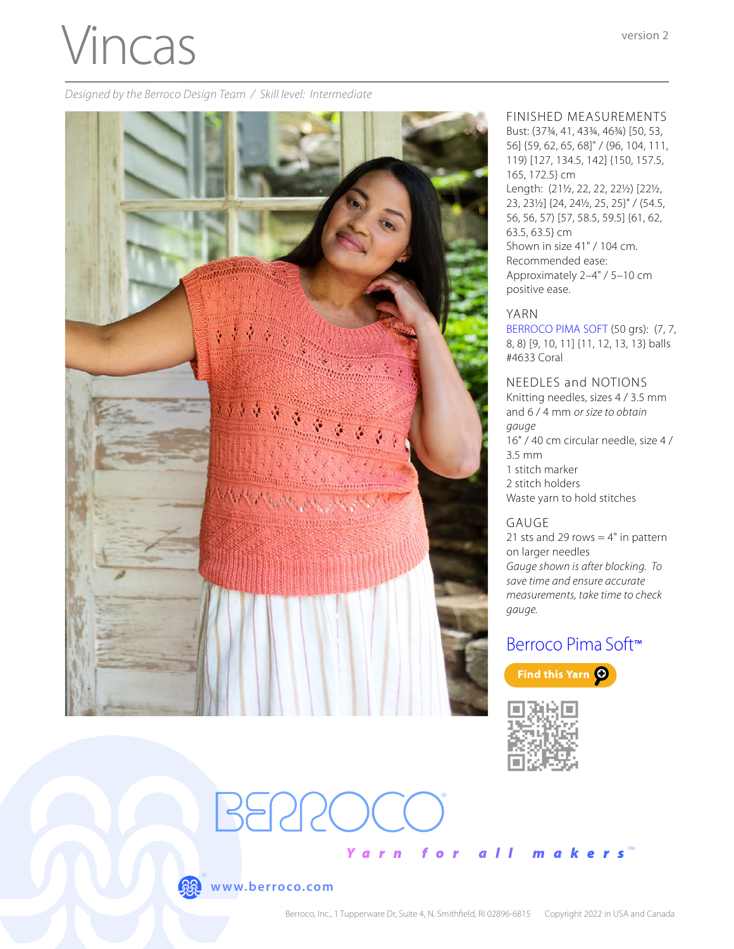# Vincas

*Designed by the Berroco Design Team / Skill level: Intermediate*



#### FINISHED MEASUREMENTS Bust: (37¾, 41, 43¾, 46¾) [50, 53, 56] {59, 62, 65, 68]" / (96, 104, 111, 119) [127, 134.5, 142] {150, 157.5, 165, 172.5} cm Length: (21½, 22, 22, 22½) [22½, 23, 23½] {24, 24½, 25, 25}" / (54.5, 56, 56, 57) [57, 58.5, 59.5] {61, 62, 63.5, 63.5} cm Shown in size 41" / 104 cm. Recommended ease: Approximately 2–4" / 5–10 cm positive ease.

#### YARN

[BERROCO PIMA SOFT](https://www.berroco.com/yarns/berroco-pima-soft) (50 grs): (7, 7, 8, 8) [9, 10, 11] {11, 12, 13, 13} balls #4633 Coral

NEEDLES and NOTIONS Knitting needles, sizes 4 / 3.5 mm and 6 / 4 mm *or size to obtain gauge* 16" / 40 cm circular needle, size 4 / 3.5 mm 1 stitch marker 2 stitch holders Waste yarn to hold stitches

#### GAUGE

21 sts and 29 rows  $=$  4" in pattern on larger needles *Gauge shown is after blocking. To save time and ensure accurate measurements, take time to check gauge.*

# [Berroco Pima Soft](https://www.berroco.com/yarns/berroco-pima-soft)™





**a** *I I m* **a k e r s**™

**BERROC** 

Yarn



# ® **[www.berroco.com](https://www.berroco.com/)**

®

f o r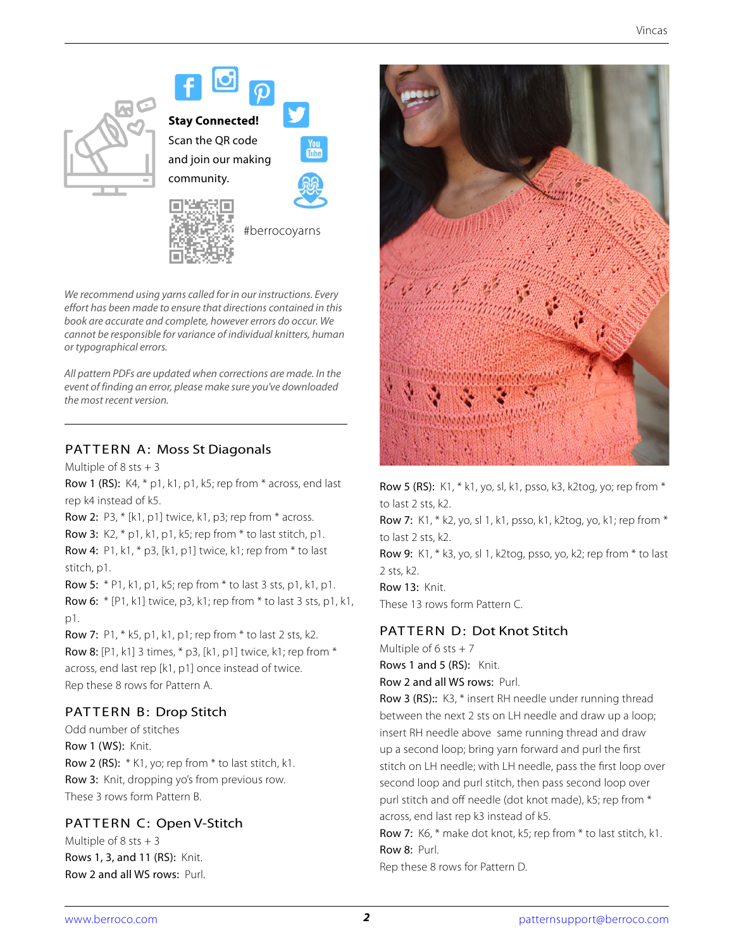

*We recommend using yarns called for in our instructions. Every effort has been made to ensure that directions contained in this book are accurate and complete, however errors do occur. We cannot be responsible for variance of individual knitters, human or typographical errors.*

*All pattern PDFs are updated when corrections are made. In the event of finding an error, please make sure you've downloaded the most recent version.*

# PATTERN A: Moss St Diagonals

Multiple of  $8$  sts  $+3$ 

Row 1 (RS): K4, \* p1, k1, p1, k5; rep from \* across, end last rep k4 instead of k5.

Row 2: P3,  $*$  [k1, p1] twice, k1, p3; rep from  $*$  across. Row 3: K2, \* p1, k1, p1, k5; rep from \* to last stitch, p1. Row 4: P1, k1, \* p3, [k1, p1] twice, k1; rep from \* to last stitch, p1.

Row 5: \* P1, k1, p1, k5; rep from \* to last 3 sts, p1, k1, p1. **Row 6:**  $*$  [P1, k1] twice, p3, k1; rep from  $*$  to last 3 sts, p1, k1, p1.

Row 7: P1, \* k5, p1, k1, p1; rep from \* to last 2 sts, k2. Row 8: [P1, k1] 3 times, \* p3, [k1, p1] twice, k1; rep from \* across, end last rep [k1, p1] once instead of twice. Rep these 8 rows for Pattern A.

# PATTERN B: Drop Stitch

Odd number of stitches Row 1 (WS): Knit. Row 2 (RS): \* K1, yo; rep from \* to last stitch, k1. Row 3: Knit, dropping yo's from previous row. These 3 rows form Pattern B.

# PATTERN C: Open V-Stitch

Multiple of 8 sts  $+3$ Rows 1, 3, and 11 (RS): Knit. Row 2 and all WS rows: Purl.



Row 5 (RS): K1, \* k1, yo, sl, k1, psso, k3, k2tog, yo; rep from \* to last 2 sts, k2.

Row 7: K1, \* k2, yo, sl 1, k1, psso, k1, k2tog, yo, k1; rep from \* to last 2 sts, k2.

Row 9: K1, \* k3, yo, sl 1, k2tog, psso, yo, k2; rep from \* to last 2 sts, k2.

Row 13: Knit.

These 13 rows form Pattern C.

## PATTERN D: Dot Knot Stitch

Multiple of 6 sts  $+ 7$ Rows 1 and 5 (RS): Knit.

Row 2 and all WS rows: Purl.

Row 3 (RS):: K3, \* insert RH needle under running thread between the next 2 sts on LH needle and draw up a loop; insert RH needle above same running thread and draw up a second loop; bring yarn forward and purl the first stitch on LH needle; with LH needle, pass the first loop over second loop and purl stitch, then pass second loop over purl stitch and off needle (dot knot made), k5; rep from \* across, end last rep k3 instead of k5.

Row 7: K6, \* make dot knot, k5; rep from \* to last stitch, k1. Row 8: Purl.

Rep these 8 rows for Pattern D.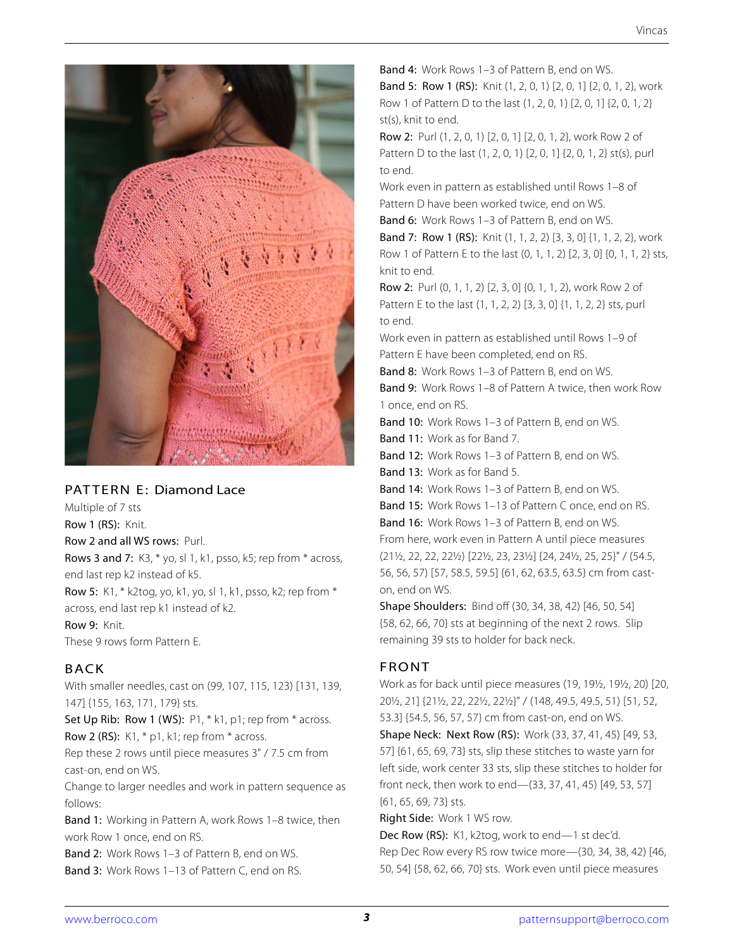

# PATTERN E: Diamond Lace

Multiple of 7 sts Row 1 (RS): Knit.

#### Row 2 and all WS rows: Purl.

Rows 3 and 7: K3, \* yo, sl 1, k1, psso, k5; rep from \* across, end last rep k2 instead of k5.

Row 5: K1, \* k2tog, yo, k1, yo, sl 1, k1, psso, k2; rep from \* across, end last rep k1 instead of k2. Row 9: Knit.

These 9 rows form Pattern E.

# BACK

With smaller needles, cast on (99, 107, 115, 123) [131, 139, 147] {155, 163, 171, 179} sts.

Set Up Rib: Row 1 (WS): P1, \* k1, p1; rep from \* across. Row 2 (RS):  $K1$ ,  $*$  p1, k1; rep from  $*$  across.

Rep these 2 rows until piece measures 3" / 7.5 cm from cast-on, end on WS.

Change to larger needles and work in pattern sequence as follows:

Band 1: Working in Pattern A, work Rows 1–8 twice, then work Row 1 once, end on RS.

Band 2: Work Rows 1–3 of Pattern B, end on WS. Band 3: Work Rows 1–13 of Pattern C, end on RS. Band 4: Work Rows 1–3 of Pattern B, end on WS.

Band 5: Row 1 (RS): Knit (1, 2, 0, 1) [2, 0, 1] {2, 0, 1, 2}, work Row 1 of Pattern D to the last (1, 2, 0, 1) [2, 0, 1] {2, 0, 1, 2} st(s), knit to end.

Row 2: Purl (1, 2, 0, 1) [2, 0, 1] [2, 0, 1, 2}, work Row 2 of Pattern D to the last (1, 2, 0, 1) [2, 0, 1] {2, 0, 1, 2} st(s), purl to end.

Work even in pattern as established until Rows 1–8 of Pattern D have been worked twice, end on WS.

Band 6: Work Rows 1–3 of Pattern B, end on WS.

Band 7: Row 1 (RS): Knit (1, 1, 2, 2) [3, 3, 0] {1, 1, 2, 2}, work Row 1 of Pattern E to the last (0, 1, 1, 2) [2, 3, 0] {0, 1, 1, 2} sts, knit to end.

Row 2: Purl (0, 1, 1, 2) [2, 3, 0] {0, 1, 1, 2), work Row 2 of Pattern E to the last (1, 1, 2, 2) [3, 3, 0] {1, 1, 2, 2} sts, purl to end.

Work even in pattern as established until Rows 1–9 of Pattern E have been completed, end on RS.

Band 8: Work Rows 1–3 of Pattern B, end on WS.

Band 9: Work Rows 1–8 of Pattern A twice, then work Row 1 once, end on RS.

Band 10: Work Rows 1–3 of Pattern B, end on WS.

Band 11: Work as for Band 7.

Band 12: Work Rows 1–3 of Pattern B, end on WS.

Band 13: Work as for Band 5.

Band 14: Work Rows 1–3 of Pattern B, end on WS.

Band 15: Work Rows 1–13 of Pattern C once, end on RS.

Band 16: Work Rows 1–3 of Pattern B, end on WS. From here, work even in Pattern A until piece measures (21½, 22, 22, 22½) [22½, 23, 23½] {24, 24½, 25, 25}" / (54.5, 56, 56, 57) [57, 58.5, 59.5] {61, 62, 63.5, 63.5} cm from caston, end on WS.

**Shape Shoulders:** Bind off (30, 34, 38, 42) [46, 50, 54] {58, 62, 66, 70} sts at beginning of the next 2 rows. Slip remaining 39 sts to holder for back neck.

## FRONT

Work as for back until piece measures (19, 19½, 19½, 20) [20, 20½, 21] {21½, 22, 22½, 22½}" / (148, 49.5, 49.5, 51) [51, 52, 53.3] {54.5, 56, 57, 57} cm from cast-on, end on WS.

Shape Neck: Next Row (RS): Work (33, 37, 41, 45) [49, 53, 57] {61, 65, 69, 73} sts, slip these stitches to waste yarn for left side, work center 33 sts, slip these stitches to holder for front neck, then work to end—(33, 37, 41, 45) [49, 53, 57] {61, 65, 69, 73} sts.

Right Side: Work 1 WS row.

Dec Row (RS): K1, k2tog, work to end—1 st dec'd. Rep Dec Row every RS row twice more—(30, 34, 38, 42) [46, 50, 54] {58, 62, 66, 70} sts. Work even until piece measures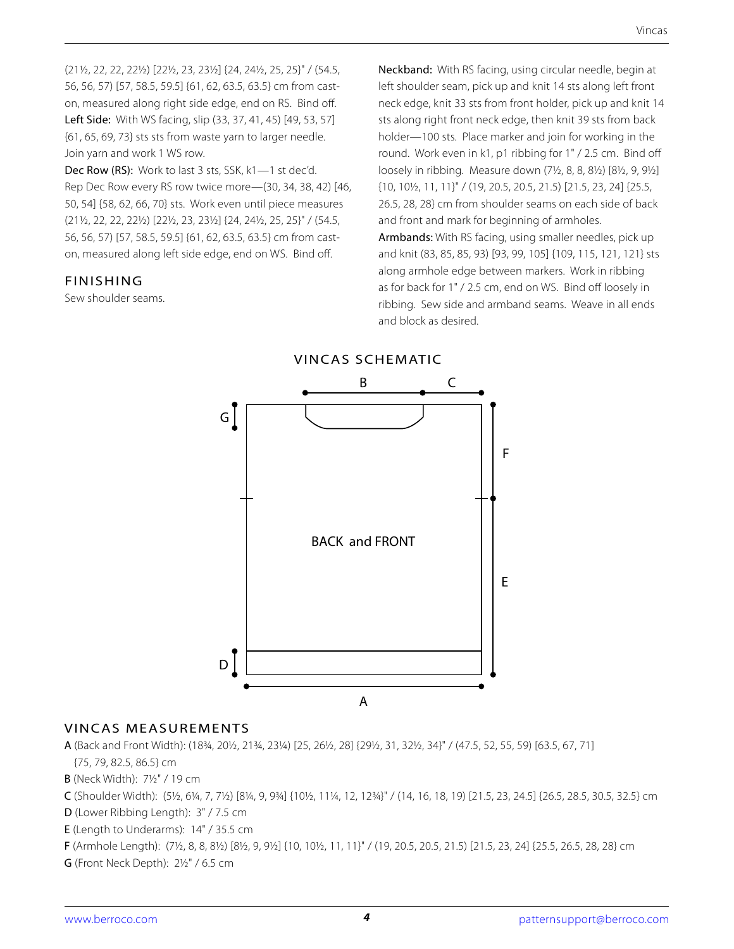(21½, 22, 22, 22½) [22½, 23, 23½] {24, 24½, 25, 25}" / (54.5, 56, 56, 57) [57, 58.5, 59.5] {61, 62, 63.5, 63.5} cm from caston, measured along right side edge, end on RS. Bind off. Left Side: With WS facing, slip (33, 37, 41, 45) [49, 53, 57] {61, 65, 69, 73} sts sts from waste yarn to larger needle. Join yarn and work 1 WS row.

Dec Row (RS): Work to last 3 sts, SSK, k1—1 st dec'd. Rep Dec Row every RS row twice more—(30, 34, 38, 42) [46, 50, 54] {58, 62, 66, 70} sts. Work even until piece measures (21½, 22, 22, 22½) [22½, 23, 23½] {24, 24½, 25, 25}" / (54.5, 56, 56, 57) [57, 58.5, 59.5] {61, 62, 63.5, 63.5} cm from caston, measured along left side edge, end on WS. Bind off.

#### FINISHING

Sew shoulder seams.

Neckband: With RS facing, using circular needle, begin at left shoulder seam, pick up and knit 14 sts along left front neck edge, knit 33 sts from front holder, pick up and knit 14 sts along right front neck edge, then knit 39 sts from back holder—100 sts. Place marker and join for working in the round. Work even in k1, p1 ribbing for 1" / 2.5 cm. Bind off loosely in ribbing. Measure down (7½, 8, 8, 8½) [8½, 9, 9½] {10, 10½, 11, 11}" / (19, 20.5, 20.5, 21.5) [21.5, 23, 24] {25.5, 26.5, 28, 28} cm from shoulder seams on each side of back and front and mark for beginning of armholes. Armbands: With RS facing, using smaller needles, pick up and knit (83, 85, 85, 93) [93, 99, 105] {109, 115, 121, 121} sts along armhole edge between markers. Work in ribbing as for back for 1" / 2.5 cm, end on WS. Bind off loosely in ribbing. Sew side and armband seams. Weave in all ends and block as desired.



## VINCAS MEASUREMENTS

A (Back and Front Width): (18¾, 20½, 21¾, 23¼) [25, 26½, 28] {29½, 31, 32½, 34}" / (47.5, 52, 55, 59) [63.5, 67, 71] {75, 79, 82.5, 86.5} cm

- B (Neck Width): 7½" / 19 cm
- C (Shoulder Width): (5½, 6¼, 7, 7½) [8¼, 9, 9¾] {10½, 11¼, 12, 12¾}" / (14, 16, 18, 19) [21.5, 23, 24.5] {26.5, 28.5, 30.5, 32.5} cm
- D (Lower Ribbing Length): 3" / 7.5 cm
- E (Length to Underarms): 14" / 35.5 cm
- F (Armhole Length): (7½, 8, 8, 8½) [8½, 9, 9½] {10, 10½, 11, 11}" / (19, 20.5, 20.5, 21.5) [21.5, 23, 24] {25.5, 26.5, 28, 28} cm
- G (Front Neck Depth): 2½" / 6.5 cm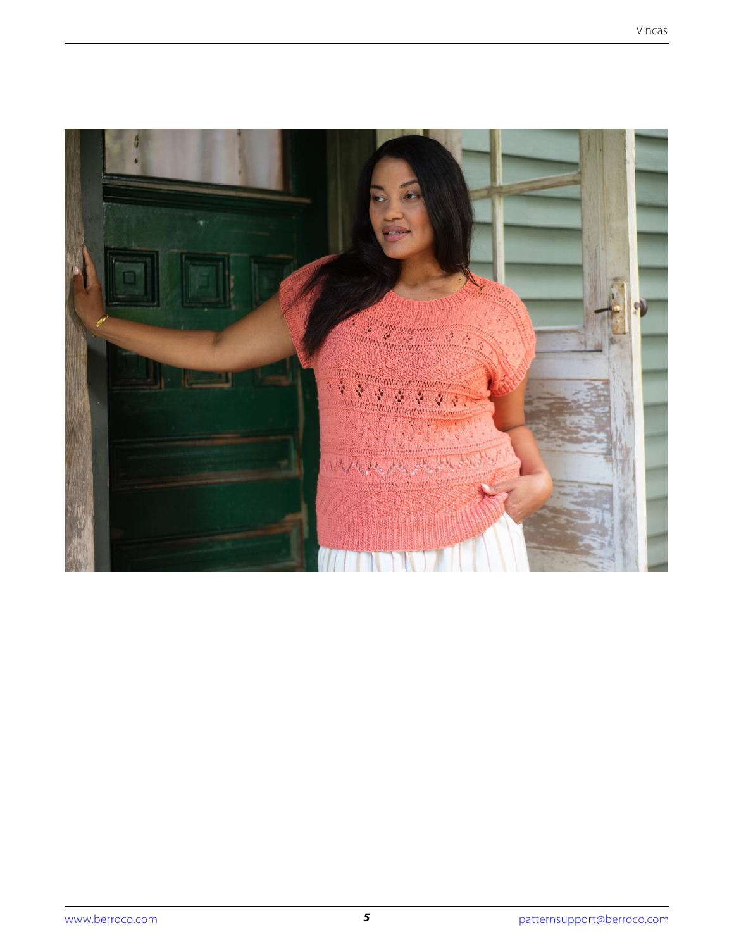